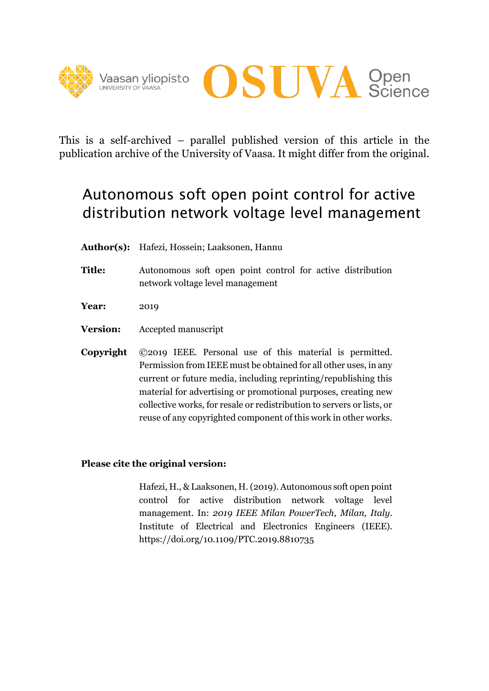



This is a self-archived – parallel published version of this article in the publication archive of the University of Vaasa. It might differ from the original.

# Autonomous soft open point control for active distribution network voltage level management

- **Author(s):** Hafezi, Hossein; Laaksonen, Hannu
- **Title:** Autonomous soft open point control for active distribution network voltage level management
- **Year:** 2019
- **Version:** Accepted manuscript
- **Copyright** ©2019 IEEE. Personal use of this material is permitted. Permission from IEEE must be obtained for all other uses, in any current or future media, including reprinting/republishing this material for advertising or promotional purposes, creating new collective works, for resale or redistribution to servers or lists, or reuse of any copyrighted component of this work in other works.

## **Please cite the original version:**

Hafezi, H., & Laaksonen, H. (2019). Autonomous soft open point control for active distribution network voltage level management. In: *2019 IEEE Milan PowerTech, Milan, Italy*. Institute of Electrical and Electronics Engineers (IEEE). https://doi.org/10.1109/PTC.2019.8810735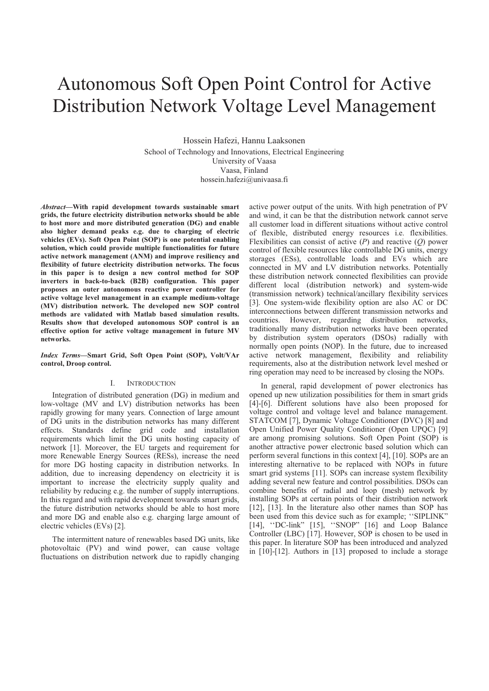# Autonomous Soft Open Point Control for Active Distribution Network Voltage Level Management

Hossein Hafezi, Hannu Laaksonen School of Technology and Innovations, Electrical Engineering University of Vaasa Vaasa, Finland hossein.hafezi@univaasa.fi

*Abstract***—With rapid development towards sustainable smart grids, the future electricity distribution networks should be able to host more and more distributed generation (DG) and enable also higher demand peaks e.g. due to charging of electric vehicles (EVs). Soft Open Point (SOP) is one potential enabling solution, which could provide multiple functionalities for future active network management (ANM) and improve resiliency and flexibility of future electricity distribution networks. The focus in this paper is to design a new control method for SOP inverters in back-to-back (B2B) configuration. This paper proposes an outer autonomous reactive power controller for active voltage level management in an example medium-voltage (MV) distribution network. The developed new SOP control methods are validated with Matlab based simulation results. Results show that developed autonomous SOP control is an effective option for active voltage management in future MV networks.** 

*Index Terms***—Smart Grid, Soft Open Point (SOP), Volt/VAr control, Droop control.** 

## I. INTRODUCTION

Integration of distributed generation (DG) in medium and low-voltage (MV and LV) distribution networks has been rapidly growing for many years. Connection of large amount of DG units in the distribution networks has many different effects. Standards define grid code and installation requirements which limit the DG units hosting capacity of network [1]. Moreover, the EU targets and requirement for more Renewable Energy Sources (RESs), increase the need for more DG hosting capacity in distribution networks. In addition, due to increasing dependency on electricity it is important to increase the electricity supply quality and reliability by reducing e.g. the number of supply interruptions. In this regard and with rapid development towards smart grids, the future distribution networks should be able to host more and more DG and enable also e.g. charging large amount of electric vehicles (EVs) [2].

The intermittent nature of renewables based DG units, like photovoltaic (PV) and wind power, can cause voltage fluctuations on distribution network due to rapidly changing

active power output of the units. With high penetration of PV and wind, it can be that the distribution network cannot serve all customer load in different situations without active control of flexible, distributed energy resources i.e. flexibilities. Flexibilities can consist of active (*P*) and reactive (*Q*) power control of flexible resources like controllable DG units, energy storages (ESs), controllable loads and EVs which are connected in MV and LV distribution networks. Potentially these distribution network connected flexibilities can provide different local (distribution network) and system-wide (transmission network) technical/ancillary flexibility services [3]. One system-wide flexibility option are also AC or DC interconnections between different transmission networks and countries. However, regarding distribution networks, traditionally many distribution networks have been operated by distribution system operators (DSOs) radially with normally open points (NOP). In the future, due to increased active network management, flexibility and reliability requirements, also at the distribution network level meshed or ring operation may need to be increased by closing the NOPs.

In general, rapid development of power electronics has opened up new utilization possibilities for them in smart grids [4]-[6]. Different solutions have also been proposed for voltage control and voltage level and balance management. STATCOM [7], Dynamic Voltage Conditioner (DVC) [8] and Open Unified Power Quality Conditioner (Open UPQC) [9] are among promising solutions. Soft Open Point (SOP) is another attractive power electronic based solution which can perform several functions in this context [4], [10]. SOPs are an interesting alternative to be replaced with NOPs in future smart grid systems [11]. SOPs can increase system flexibility adding several new feature and control possibilities. DSOs can combine benefits of radial and loop (mesh) network by installing SOPs at certain points of their distribution network [12], [13]. In the literature also other names than SOP has been used from this device such as for example; ''SIPLINK" [14], ''DC-link" [15], ''SNOP" [16] and Loop Balance Controller (LBC) [17]. However, SOP is chosen to be used in this paper. In literature SOP has been introduced and analyzed in [10]-[12]. Authors in [13] proposed to include a storage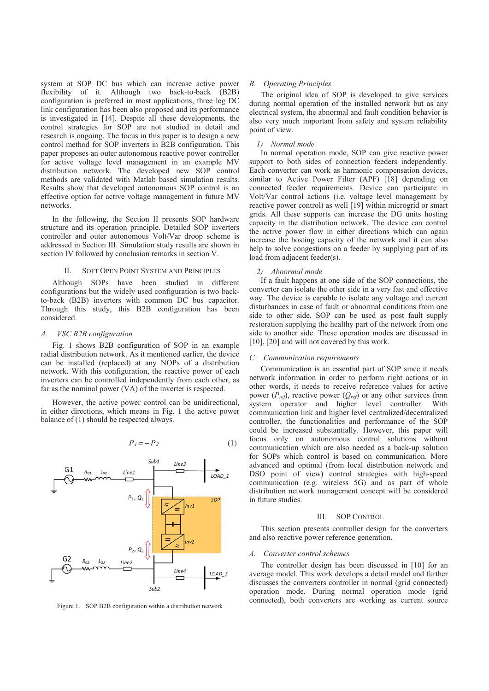system at SOP DC bus which can increase active power flexibility of it. Although two back-to-back (B2B) configuration is preferred in most applications, three leg DC link configuration has been also proposed and its performance is investigated in [14]. Despite all these developments, the control strategies for SOP are not studied in detail and research is ongoing. The focus in this paper is to design a new control method for SOP inverters in B2B configuration. This paper proposes an outer autonomous reactive power controller for active voltage level management in an example MV distribution network. The developed new SOP control methods are validated with Matlab based simulation results. Results show that developed autonomous SOP control is an effective option for active voltage management in future MV networks.

In the following, the Section II presents SOP hardware structure and its operation principle. Detailed SOP inverters controller and outer autonomous Volt/Var droop scheme is addressed in Section III. Simulation study results are shown in section IV followed by conclusion remarks in section V.

#### II. SOFT OPEN POINT SYSTEM AND PRINCIPLES

Although SOPs have been studied in different configurations but the widely used configuration is two backto-back (B2B) inverters with common DC bus capacitor. Through this study, this B2B configuration has been considered.

#### *A. VSC B2B configuration*

Fig. 1 shows B2B configuration of SOP in an example radial distribution network. As it mentioned earlier, the device can be installed (replaced) at any NOPs of a distribution network. With this configuration, the reactive power of each inverters can be controlled independently from each other, as far as the nominal power (VA) of the inverter is respected.

However, the active power control can be unidirectional, in either directions, which means in Fig. 1 the active power balance of (1) should be respected always.

$$
P_1 = -P_2 \tag{1}
$$



Figure 1. SOP B2B configuration within a distribution network

## *B. Operating Principles*

The original idea of SOP is developed to give services during normal operation of the installed network but as any electrical system, the abnormal and fault condition behavior is also very much important from safety and system reliability point of view.

### *1) Normal mode*

In normal operation mode, SOP can give reactive power support to both sides of connection feeders independently. Each converter can work as harmonic compensation devices, similar to Active Power Filter (APF) [18] depending on connected feeder requirements. Device can participate in Volt/Var control actions (i.e. voltage level management by reactive power control) as well [19] within microgrid or smart grids. All these supports can increase the DG units hosting capacity in the distribution network. The device can control the active power flow in either directions which can again increase the hosting capacity of the network and it can also help to solve congestions on a feeder by supplying part of its load from adjacent feeder(s).

#### *2) Abnormal mode*

If a fault happens at one side of the SOP connections, the converter can isolate the other side in a very fast and effective way. The device is capable to isolate any voltage and current disturbances in case of fault or abnormal conditions from one side to other side. SOP can be used as post fault supply restoration supplying the healthy part of the network from one side to another side. These operation modes are discussed in [10], [20] and will not covered by this work.

## *C. Communication requirements*

Communication is an essential part of SOP since it needs network information in order to perform right actions or in other words, it needs to receive reference values for active power  $(P_{ref})$ , reactive power  $(Q_{ref})$  or any other services from system operator and higher level controller. With communication link and higher level centralized/decentralized controller, the functionalities and performance of the SOP could be increased substantially. However, this paper will focus only on autonomous control solutions without communication which are also needed as a back-up solution for SOPs which control is based on communication. More advanced and optimal (from local distribution network and DSO point of view) control strategies with high-speed communication (e.g. wireless 5G) and as part of whole distribution network management concept will be considered in future studies.

## III. SOP CONTROL

This section presents controller design for the converters and also reactive power reference generation.

#### *A. Converter control schemes*

The controller design has been discussed in [10] for an average model. This work develops a detail model and further discusses the converters controller in normal (grid connected) operation mode. During normal operation mode (grid connected), both converters are working as current source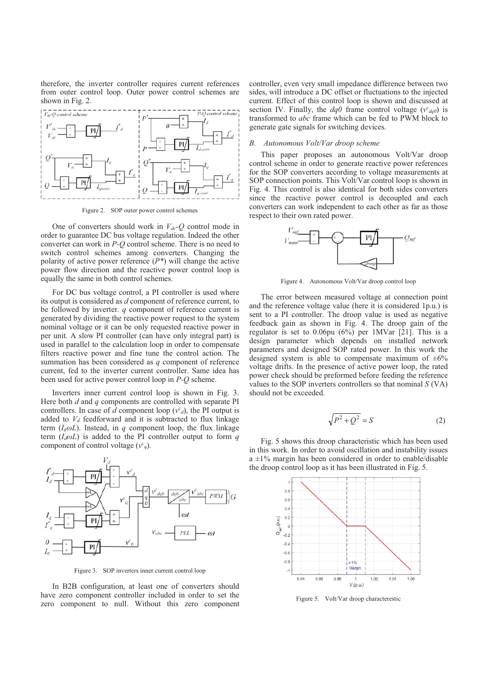therefore, the inverter controller requires current references from outer control loop. Outer power control schemes are shown in Fig. 2.



Figure 2. SOP outer power control schemes

One of converters should work in  $V_{dc}$ -Q control mode in order to guarantee DC bus voltage regulation. Indeed the other converter can work in *P-Q* control scheme. There is no need to switch control schemes among converters. Changing the polarity of active power reference (*P\**) will change the active power flow direction and the reactive power control loop is equally the same in both control schemes.

For DC bus voltage control, a PI controller is used where its output is considered as *d* component of reference current, to be followed by inverter. *q* component of reference current is generated by dividing the reactive power request to the system nominal voltage or it can be only requested reactive power in per unit. A slow PI controller (can have only integral part) is used in parallel to the calculation loop in order to compensate filters reactive power and fine tune the control action. The summation has been considered as *q* component of reference current, fed to the inverter current controller. Same idea has been used for active power control loop in *P-Q* scheme.

Inverters inner current control loop is shown in Fig. 3. Here both *d* and *q* components are controlled with separate PI controllers. In case of  $d$  component loop  $(v^c)_d$ , the PI output is added to  $V_d$  feedforward and it is subtracted to flux linkage term  $(I_q \omega L)$ . Instead, in *q* component loop, the flux linkage term  $(I_d \omega L)$  is added to the PI controller output to form *q* component of control voltage  $(v^c_q)$ .



Figure 3. SOP inverters inner current control loop

In B2B configuration, at least one of converters should have zero component controller included in order to set the zero component to null. Without this zero component controller, even very small impedance difference between two sides, will introduce a DC offset or fluctuations to the injected current. Effect of this control loop is shown and discussed at section IV. Finally, the  $dq0$  frame control voltage ( $v^c_{dq0}$ ) is transformed to *abc* frame which can be fed to PWM block to generate gate signals for switching devices.

### *B. Autonomous Volt/Var droop scheme*

This paper proposes an autonomous Volt/Var droop control scheme in order to generate reactive power references for the SOP converters according to voltage measurements at SOP connection points. This Volt/Var control loop is shown in Fig. 4. This control is also identical for both sides converters since the reactive power control is decoupled and each converters can work independent to each other as far as those respect to their own rated power.



Figure 4. Autonomous Volt/Var droop control loop

The error between measured voltage at connection point and the reference voltage value (here it is considered 1p.u.) is sent to a PI controller. The droop value is used as negative feedback gain as shown in Fig. 4. The droop gain of the regulator is set to 0.06pu (6%) per 1MVar [21]. This is a design parameter which depends on installed network parameters and designed SOP rated power. In this work the designed system is able to compensate maximum of  $\pm 6\%$ voltage drifts. In the presence of active power loop, the rated power check should be preformed before feeding the reference values to the SOP inverters controllers so that nominal *S* (VA) should not be exceeded.

$$
\sqrt{P^2 + Q^2} = S \tag{2}
$$

Fig. 5 shows this droop characteristic which has been used in this work. In order to avoid oscillation and instability issues  $a \pm 1\%$  margin has been considered in order to enable/disable the droop control loop as it has been illustrated in Fig. 5.



Figure 5. Volt/Var droop characterestic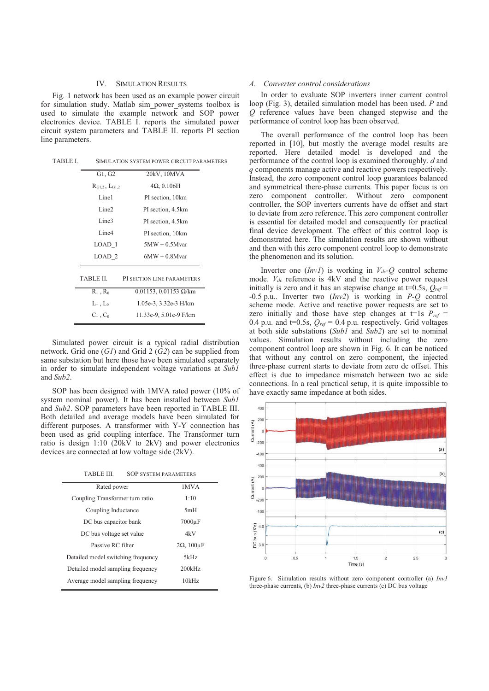## IV. SIMULATION RESULTS

Fig. 1 network has been used as an example power circuit for simulation study. Matlab sim\_power\_systems toolbox is used to simulate the example network and SOP power electronics device. TABLE I. reports the simulated power circuit system parameters and TABLE II. reports PI section line parameters.

| G1, G2                  | 20kV, 10MVA                        |
|-------------------------|------------------------------------|
| $R_{G1,2}$ , $L_{G1,2}$ | $4\Omega$ , 0.106H                 |
| Line1                   | PI section, 10km                   |
| Line <sub>2</sub>       | PI section, 4.5km                  |
| Line <sub>3</sub>       | PI section, 4.5km                  |
| Line <sub>4</sub>       | PI section, 10km                   |
| LOAD 1                  | $5MW + 0.5Mvar$                    |
| LOAD <sub>2</sub>       | $6MW + 0.8Mvar$                    |
| TABLE II.               | PI SECTION LINE PARAMETERS         |
| $R_+$ , $R_0$           | $0.01153$ , $0.01153$ $\Omega$ /km |
| $L_{+}$ , $L_{0}$       | 1.05e-3, 3.32e-3 H/km              |
| $C_{+}$ , $C_{0}$       | 11.33e-9, 5.01e-9 F/km             |

Simulated power circuit is a typical radial distribution network. Grid one (*G1*) and Grid 2 (*G2*) can be supplied from same substation but here those have been simulated separately in order to simulate independent voltage variations at *Sub1* and *Sub2*.

SOP has been designed with 1MVA rated power (10% of system nominal power). It has been installed between *Sub1* and *Sub2*. SOP parameters have been reported in TABLE III. Both detailed and average models have been simulated for different purposes. A transformer with Y-Y connection has been used as grid coupling interface. The Transformer turn ratio is design 1:10 (20kV to 2kV) and power electronics devices are connected at low voltage side (2kV).

TABLE III. SOP SYSTEM PARAMETERS

| Rated power                        | 1MVA                   |
|------------------------------------|------------------------|
| Coupling Transformer turn ratio    | 1:10                   |
| Coupling Inductance                | 5mH                    |
| DC bus capacitor bank              | $7000\mu F$            |
| DC bus voltage set value           | 4k V                   |
| Passive RC filter                  | $2\Omega$ , $100\mu F$ |
| Detailed model switching frequency | 5kHz                   |
| Detailed model sampling frequency  | 200kHz                 |
| Average model sampling frequency   | 10kHz                  |
|                                    |                        |

#### *A. Converter control considerations*

In order to evaluate SOP inverters inner current control loop (Fig. 3), detailed simulation model has been used. *P* and *Q* reference values have been changed stepwise and the performance of control loop has been observed.

The overall performance of the control loop has been reported in [10], but mostly the average model results are reported. Here detailed model is developed and the performance of the control loop is examined thoroughly. *d* and *q* components manage active and reactive powers respectively. Instead, the zero component control loop guarantees balanced and symmetrical there-phase currents. This paper focus is on zero component controller. Without zero component controller, the SOP inverters currents have dc offset and start to deviate from zero reference. This zero component controller is essential for detailed model and consequently for practical final device development. The effect of this control loop is demonstrated here. The simulation results are shown without and then with this zero component control loop to demonstrate the phenomenon and its solution.

Inverter one  $(InvI)$  is working in  $V_{dc}Q$  control scheme mode.  $V_{dc}$  reference is 4kV and the reactive power request initially is zero and it has an stepwise change at  $t=0.5$ s,  $Q_{ref}$ -0.5 p.u.. Inverter two (*Inv2*) is working in *P-Q* control scheme mode. Active and reactive power requests are set to zero initially and those have step changes at  $t=1s$   $P_{ref}$  = 0.4 p.u. and  $t=0.5s$ ,  $Q_{ref} = 0.4$  p.u. respectively. Grid voltages at both side substations (*Sub1* and *Sub2*) are set to nominal values. Simulation results without including the zero component control loop are shown in Fig. 6. It can be noticed that without any control on zero component, the injected three-phase current starts to deviate from zero dc offset. This effect is due to impedance mismatch between two ac side connections. In a real practical setup, it is quite impossible to have exactly same impedance at both sides.



Figure 6. Simulation results without zero component controller (a) *Inv1* three-phase currents, (b) *Inv2* three-phase currents (c) DC bus voltage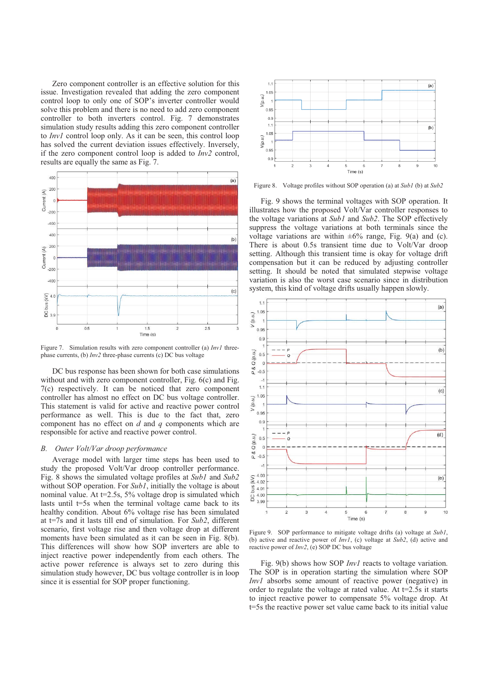Zero component controller is an effective solution for this issue. Investigation revealed that adding the zero component control loop to only one of SOP's inverter controller would solve this problem and there is no need to add zero component controller to both inverters control. Fig. 7 demonstrates simulation study results adding this zero component controller to *Inv1* control loop only. As it can be seen, this control loop has solved the current deviation issues effectively. Inversely, if the zero component control loop is added to *Inv2* control, results are equally the same as Fig. 7.



Figure 7. Simulation results with zero component controller (a) *Inv1* threephase currents, (b) *Inv2* three-phase currents (c) DC bus voltage

DC bus response has been shown for both case simulations without and with zero component controller, Fig.  $6(c)$  and Fig. 7(c) respectively. It can be noticed that zero component controller has almost no effect on DC bus voltage controller. This statement is valid for active and reactive power control performance as well. This is due to the fact that, zero component has no effect on *d* and *q* components which are responsible for active and reactive power control.

#### *B. Outer Volt/Var droop performance*

Average model with larger time steps has been used to study the proposed Volt/Var droop controller performance. Fig. 8 shows the simulated voltage profiles at *Sub1* and *Sub2* without SOP operation. For *Sub1*, initially the voltage is about nominal value. At t=2.5s, 5% voltage drop is simulated which lasts until  $t=5s$  when the terminal voltage came back to its healthy condition. About 6% voltage rise has been simulated at t=7s and it lasts till end of simulation. For *Sub2*, different scenario, first voltage rise and then voltage drop at different moments have been simulated as it can be seen in Fig. 8(b). This differences will show how SOP inverters are able to inject reactive power independently from each others. The active power reference is always set to zero during this simulation study however, DC bus voltage controller is in loop since it is essential for SOP proper functioning.



Figure 8. Voltage profiles without SOP operation (a) at *Sub1* (b) at *Sub2*

Fig. 9 shows the terminal voltages with SOP operation. It illustrates how the proposed Volt/Var controller responses to the voltage variations at *Sub1* and *Sub2*. The SOP effectively suppress the voltage variations at both terminals since the voltage variations are within  $\pm 6\%$  range, Fig. 9(a) and (c). There is about 0.5s transient time due to Volt/Var droop setting. Although this transient time is okay for voltage drift compensation but it can be reduced by adjusting controller setting. It should be noted that simulated stepwise voltage variation is also the worst case scenario since in distribution system, this kind of voltage drifts usually happen slowly.



Figure 9. SOP performance to mitigate voltage drifts (a) voltage at *Sub1*, (b) active and reactive power of *Inv1*, (c) voltage at *Sub2*, (d) active and reactive power of *Inv2*, (e) SOP DC bus voltage

Fig. 9(b) shows how SOP *Inv1* reacts to voltage variation. The SOP is in operation starting the simulation where SOP *Inv1* absorbs some amount of reactive power (negative) in order to regulate the voltage at rated value. At t=2.5s it starts to inject reactive power to compensate 5% voltage drop. At t=5s the reactive power set value came back to its initial value